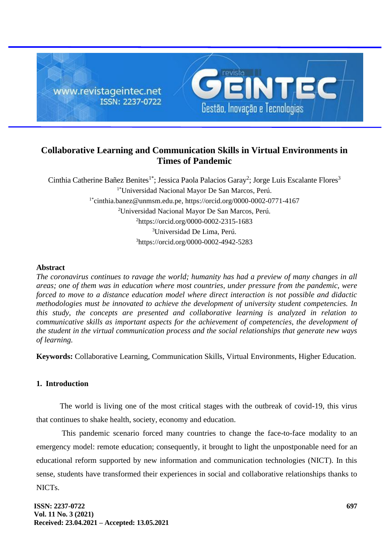

# **Collaborative Learning and Communication Skills in Virtual Environments in Times of Pandemic**

Cinthia Catherine Bañez Benites<sup>1\*</sup>; Jessica Paola Palacios Garay<sup>2</sup>; Jorge Luis Escalante Flores<sup>3</sup> 1\*Universidad Nacional Mayor De San Marcos, Perú. 1\*[cinthia.banez@unmsm.edu.pe,](mailto:cinthia.banez@unmsm.edu.pe) <https://orcid.org/0000-0002-0771-4167> <sup>2</sup>Universidad Nacional Mayor De San Marcos, Perú. <sup>2</sup><https://orcid.org/0000-0002-2315-1683> <sup>3</sup>Universidad De Lima, Perú. <sup>3</sup>https://orcid.org/0000-0002-4942-5283

## **Abstract**

*The coronavirus continues to ravage the world; humanity has had a preview of many changes in all areas; one of them was in education where most countries, under pressure from the pandemic, were forced to move to a distance education model where direct interaction is not possible and didactic methodologies must be innovated to achieve the development of university student competencies. In this study, the concepts are presented and collaborative learning is analyzed in relation to communicative skills as important aspects for the achievement of competencies, the development of the student in the virtual communication process and the social relationships that generate new ways of learning.*

**Keywords:** Collaborative Learning, Communication Skills, Virtual Environments, Higher Education.

### **1. Introduction**

The world is living one of the most critical stages with the outbreak of covid-19, this virus that continues to shake health, society, economy and education.

This pandemic scenario forced many countries to change the face-to-face modality to an emergency model: remote education; consequently, it brought to light the unpostponable need for an educational reform supported by new information and communication technologies (NICT). In this sense, students have transformed their experiences in social and collaborative relationships thanks to NICTs.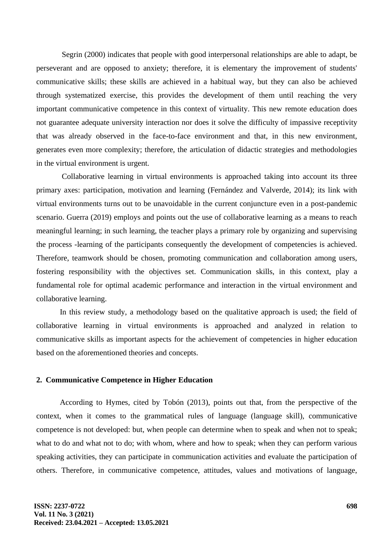Segrin (2000) indicates that people with good interpersonal relationships are able to adapt, be perseverant and are opposed to anxiety; therefore, it is elementary the improvement of students' communicative skills; these skills are achieved in a habitual way, but they can also be achieved through systematized exercise, this provides the development of them until reaching the very important communicative competence in this context of virtuality. This new remote education does not guarantee adequate university interaction nor does it solve the difficulty of impassive receptivity that was already observed in the face-to-face environment and that, in this new environment, generates even more complexity; therefore, the articulation of didactic strategies and methodologies in the virtual environment is urgent.

Collaborative learning in virtual environments is approached taking into account its three primary axes: participation, motivation and learning (Fernández and Valverde, 2014); its link with virtual environments turns out to be unavoidable in the current conjuncture even in a post-pandemic scenario. Guerra (2019) employs and points out the use of collaborative learning as a means to reach meaningful learning; in such learning, the teacher plays a primary role by organizing and supervising the process -learning of the participants consequently the development of competencies is achieved. Therefore, teamwork should be chosen, promoting communication and collaboration among users, fostering responsibility with the objectives set. Communication skills, in this context, play a fundamental role for optimal academic performance and interaction in the virtual environment and collaborative learning.

In this review study, a methodology based on the qualitative approach is used; the field of collaborative learning in virtual environments is approached and analyzed in relation to communicative skills as important aspects for the achievement of competencies in higher education based on the aforementioned theories and concepts.

### **2. Communicative Competence in Higher Education**

According to Hymes, cited by Tobón (2013), points out that, from the perspective of the context, when it comes to the grammatical rules of language (language skill), communicative competence is not developed: but, when people can determine when to speak and when not to speak; what to do and what not to do; with whom, where and how to speak; when they can perform various speaking activities, they can participate in communication activities and evaluate the participation of others. Therefore, in communicative competence, attitudes, values and motivations of language,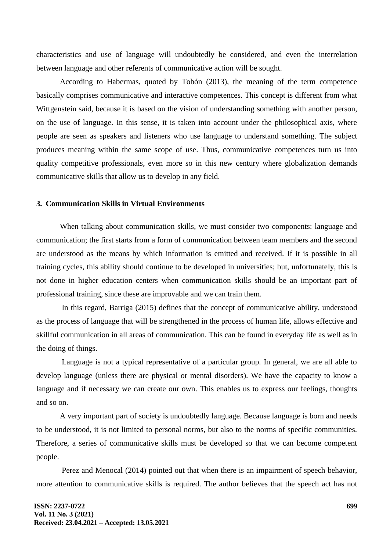characteristics and use of language will undoubtedly be considered, and even the interrelation between language and other referents of communicative action will be sought.

According to Habermas, quoted by Tobón (2013), the meaning of the term competence basically comprises communicative and interactive competences. This concept is different from what Wittgenstein said, because it is based on the vision of understanding something with another person, on the use of language. In this sense, it is taken into account under the philosophical axis, where people are seen as speakers and listeners who use language to understand something. The subject produces meaning within the same scope of use. Thus, communicative competences turn us into quality competitive professionals, even more so in this new century where globalization demands communicative skills that allow us to develop in any field.

#### **3. Communication Skills in Virtual Environments**

When talking about communication skills, we must consider two components: language and communication; the first starts from a form of communication between team members and the second are understood as the means by which information is emitted and received. If it is possible in all training cycles, this ability should continue to be developed in universities; but, unfortunately, this is not done in higher education centers when communication skills should be an important part of professional training, since these are improvable and we can train them.

In this regard, Barriga (2015) defines that the concept of communicative ability, understood as the process of language that will be strengthened in the process of human life, allows effective and skillful communication in all areas of communication. This can be found in everyday life as well as in the doing of things.

Language is not a typical representative of a particular group. In general, we are all able to develop language (unless there are physical or mental disorders). We have the capacity to know a language and if necessary we can create our own. This enables us to express our feelings, thoughts and so on.

A very important part of society is undoubtedly language. Because language is born and needs to be understood, it is not limited to personal norms, but also to the norms of specific communities. Therefore, a series of communicative skills must be developed so that we can become competent people.

Perez and Menocal (2014) pointed out that when there is an impairment of speech behavior, more attention to communicative skills is required. The author believes that the speech act has not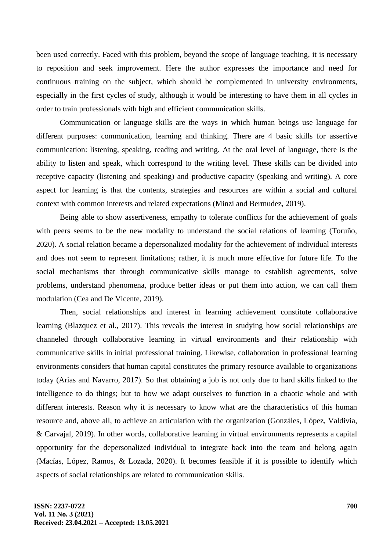been used correctly. Faced with this problem, beyond the scope of language teaching, it is necessary to reposition and seek improvement. Here the author expresses the importance and need for continuous training on the subject, which should be complemented in university environments, especially in the first cycles of study, although it would be interesting to have them in all cycles in order to train professionals with high and efficient communication skills.

Communication or language skills are the ways in which human beings use language for different purposes: communication, learning and thinking. There are 4 basic skills for assertive communication: listening, speaking, reading and writing. At the oral level of language, there is the ability to listen and speak, which correspond to the writing level. These skills can be divided into receptive capacity (listening and speaking) and productive capacity (speaking and writing). A core aspect for learning is that the contents, strategies and resources are within a social and cultural context with common interests and related expectations (Minzi and Bermudez, 2019).

Being able to show assertiveness, empathy to tolerate conflicts for the achievement of goals with peers seems to be the new modality to understand the social relations of learning (Toruño, 2020). A social relation became a depersonalized modality for the achievement of individual interests and does not seem to represent limitations; rather, it is much more effective for future life. To the social mechanisms that through communicative skills manage to establish agreements, solve problems, understand phenomena, produce better ideas or put them into action, we can call them modulation (Cea and De Vicente, 2019).

Then, social relationships and interest in learning achievement constitute collaborative learning (Blazquez et al., 2017). This reveals the interest in studying how social relationships are channeled through collaborative learning in virtual environments and their relationship with communicative skills in initial professional training. Likewise, collaboration in professional learning environments considers that human capital constitutes the primary resource available to organizations today (Arias and Navarro, 2017). So that obtaining a job is not only due to hard skills linked to the intelligence to do things; but to how we adapt ourselves to function in a chaotic whole and with different interests. Reason why it is necessary to know what are the characteristics of this human resource and, above all, to achieve an articulation with the organization (Gonzáles, López, Valdivia, & Carvajal, 2019). In other words, collaborative learning in virtual environments represents a capital opportunity for the depersonalized individual to integrate back into the team and belong again (Macías, López, Ramos, & Lozada, 2020). It becomes feasible if it is possible to identify which aspects of social relationships are related to communication skills.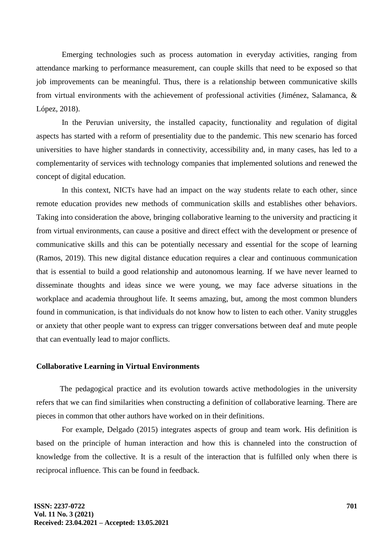Emerging technologies such as process automation in everyday activities, ranging from attendance marking to performance measurement, can couple skills that need to be exposed so that job improvements can be meaningful. Thus, there is a relationship between communicative skills from virtual environments with the achievement of professional activities (Jiménez, Salamanca, & López, 2018).

In the Peruvian university, the installed capacity, functionality and regulation of digital aspects has started with a reform of presentiality due to the pandemic. This new scenario has forced universities to have higher standards in connectivity, accessibility and, in many cases, has led to a complementarity of services with technology companies that implemented solutions and renewed the concept of digital education.

In this context, NICTs have had an impact on the way students relate to each other, since remote education provides new methods of communication skills and establishes other behaviors. Taking into consideration the above, bringing collaborative learning to the university and practicing it from virtual environments, can cause a positive and direct effect with the development or presence of communicative skills and this can be potentially necessary and essential for the scope of learning (Ramos, 2019). This new digital distance education requires a clear and continuous communication that is essential to build a good relationship and autonomous learning. If we have never learned to disseminate thoughts and ideas since we were young, we may face adverse situations in the workplace and academia throughout life. It seems amazing, but, among the most common blunders found in communication, is that individuals do not know how to listen to each other. Vanity struggles or anxiety that other people want to express can trigger conversations between deaf and mute people that can eventually lead to major conflicts.

#### **Collaborative Learning in Virtual Environments**

The pedagogical practice and its evolution towards active methodologies in the university refers that we can find similarities when constructing a definition of collaborative learning. There are pieces in common that other authors have worked on in their definitions.

For example, Delgado (2015) integrates aspects of group and team work. His definition is based on the principle of human interaction and how this is channeled into the construction of knowledge from the collective. It is a result of the interaction that is fulfilled only when there is reciprocal influence. This can be found in feedback.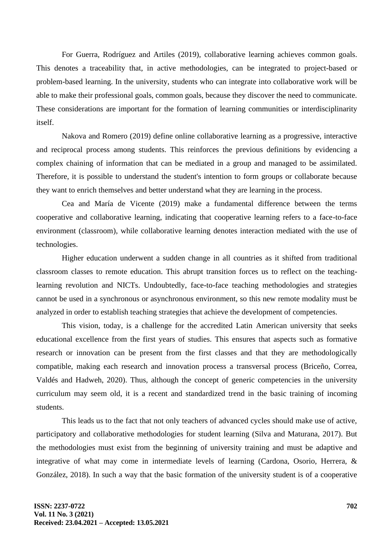For Guerra, Rodríguez and Artiles (2019), collaborative learning achieves common goals. This denotes a traceability that, in active methodologies, can be integrated to project-based or problem-based learning. In the university, students who can integrate into collaborative work will be able to make their professional goals, common goals, because they discover the need to communicate. These considerations are important for the formation of learning communities or interdisciplinarity itself.

Nakova and Romero (2019) define online collaborative learning as a progressive, interactive and reciprocal process among students. This reinforces the previous definitions by evidencing a complex chaining of information that can be mediated in a group and managed to be assimilated. Therefore, it is possible to understand the student's intention to form groups or collaborate because they want to enrich themselves and better understand what they are learning in the process.

Cea and María de Vicente (2019) make a fundamental difference between the terms cooperative and collaborative learning, indicating that cooperative learning refers to a face-to-face environment (classroom), while collaborative learning denotes interaction mediated with the use of technologies.

Higher education underwent a sudden change in all countries as it shifted from traditional classroom classes to remote education. This abrupt transition forces us to reflect on the teachinglearning revolution and NICTs. Undoubtedly, face-to-face teaching methodologies and strategies cannot be used in a synchronous or asynchronous environment, so this new remote modality must be analyzed in order to establish teaching strategies that achieve the development of competencies.

This vision, today, is a challenge for the accredited Latin American university that seeks educational excellence from the first years of studies. This ensures that aspects such as formative research or innovation can be present from the first classes and that they are methodologically compatible, making each research and innovation process a transversal process (Briceño, Correa, Valdés and Hadweh, 2020). Thus, although the concept of generic competencies in the university curriculum may seem old, it is a recent and standardized trend in the basic training of incoming students.

This leads us to the fact that not only teachers of advanced cycles should make use of active, participatory and collaborative methodologies for student learning (Silva and Maturana, 2017). But the methodologies must exist from the beginning of university training and must be adaptive and integrative of what may come in intermediate levels of learning (Cardona, Osorio, Herrera, & González, 2018). In such a way that the basic formation of the university student is of a cooperative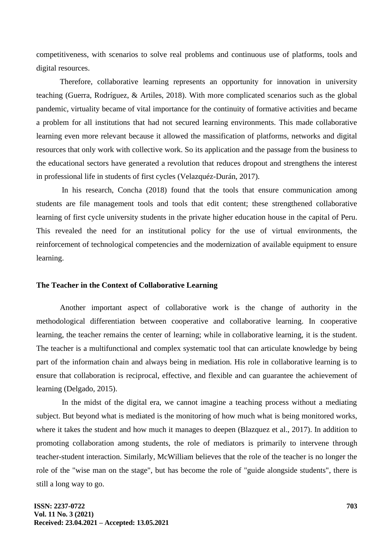competitiveness, with scenarios to solve real problems and continuous use of platforms, tools and digital resources.

Therefore, collaborative learning represents an opportunity for innovation in university teaching (Guerra, Rodríguez, & Artiles, 2018). With more complicated scenarios such as the global pandemic, virtuality became of vital importance for the continuity of formative activities and became a problem for all institutions that had not secured learning environments. This made collaborative learning even more relevant because it allowed the massification of platforms, networks and digital resources that only work with collective work. So its application and the passage from the business to the educational sectors have generated a revolution that reduces dropout and strengthens the interest in professional life in students of first cycles (Velazquéz-Durán, 2017).

In his research, Concha (2018) found that the tools that ensure communication among students are file management tools and tools that edit content; these strengthened collaborative learning of first cycle university students in the private higher education house in the capital of Peru. This revealed the need for an institutional policy for the use of virtual environments, the reinforcement of technological competencies and the modernization of available equipment to ensure learning.

#### **The Teacher in the Context of Collaborative Learning**

Another important aspect of collaborative work is the change of authority in the methodological differentiation between cooperative and collaborative learning. In cooperative learning, the teacher remains the center of learning; while in collaborative learning, it is the student. The teacher is a multifunctional and complex systematic tool that can articulate knowledge by being part of the information chain and always being in mediation. His role in collaborative learning is to ensure that collaboration is reciprocal, effective, and flexible and can guarantee the achievement of learning (Delgado, 2015).

In the midst of the digital era, we cannot imagine a teaching process without a mediating subject. But beyond what is mediated is the monitoring of how much what is being monitored works, where it takes the student and how much it manages to deepen (Blazquez et al., 2017). In addition to promoting collaboration among students, the role of mediators is primarily to intervene through teacher-student interaction. Similarly, McWilliam believes that the role of the teacher is no longer the role of the "wise man on the stage", but has become the role of "guide alongside students", there is still a long way to go.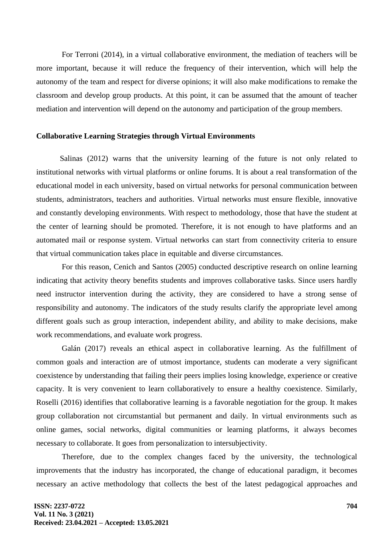For Terroni (2014), in a virtual collaborative environment, the mediation of teachers will be more important, because it will reduce the frequency of their intervention, which will help the autonomy of the team and respect for diverse opinions; it will also make modifications to remake the classroom and develop group products. At this point, it can be assumed that the amount of teacher mediation and intervention will depend on the autonomy and participation of the group members.

#### **Collaborative Learning Strategies through Virtual Environments**

Salinas (2012) warns that the university learning of the future is not only related to institutional networks with virtual platforms or online forums. It is about a real transformation of the educational model in each university, based on virtual networks for personal communication between students, administrators, teachers and authorities. Virtual networks must ensure flexible, innovative and constantly developing environments. With respect to methodology, those that have the student at the center of learning should be promoted. Therefore, it is not enough to have platforms and an automated mail or response system. Virtual networks can start from connectivity criteria to ensure that virtual communication takes place in equitable and diverse circumstances.

For this reason, Cenich and Santos (2005) conducted descriptive research on online learning indicating that activity theory benefits students and improves collaborative tasks. Since users hardly need instructor intervention during the activity, they are considered to have a strong sense of responsibility and autonomy. The indicators of the study results clarify the appropriate level among different goals such as group interaction, independent ability, and ability to make decisions, make work recommendations, and evaluate work progress.

Galán (2017) reveals an ethical aspect in collaborative learning. As the fulfillment of common goals and interaction are of utmost importance, students can moderate a very significant coexistence by understanding that failing their peers implies losing knowledge, experience or creative capacity. It is very convenient to learn collaboratively to ensure a healthy coexistence. Similarly, Roselli (2016) identifies that collaborative learning is a favorable negotiation for the group. It makes group collaboration not circumstantial but permanent and daily. In virtual environments such as online games, social networks, digital communities or learning platforms, it always becomes necessary to collaborate. It goes from personalization to intersubjectivity.

Therefore, due to the complex changes faced by the university, the technological improvements that the industry has incorporated, the change of educational paradigm, it becomes necessary an active methodology that collects the best of the latest pedagogical approaches and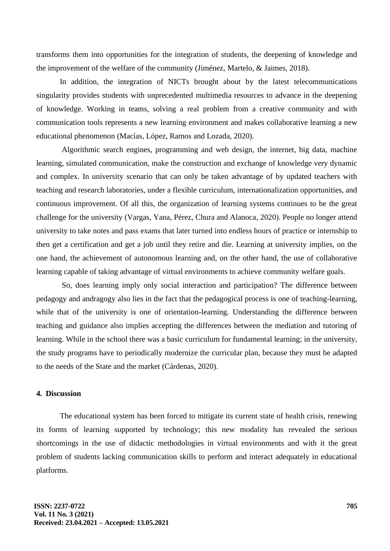transforms them into opportunities for the integration of students, the deepening of knowledge and the improvement of the welfare of the community (Jiménez, Martelo, & Jaimes, 2018).

In addition, the integration of NICTs brought about by the latest telecommunications singularity provides students with unprecedented multimedia resources to advance in the deepening of knowledge. Working in teams, solving a real problem from a creative community and with communication tools represents a new learning environment and makes collaborative learning a new educational phenomenon (Macías, López, Ramos and Lozada, 2020).

Algorithmic search engines, programming and web design, the internet, big data, machine learning, simulated communication, make the construction and exchange of knowledge very dynamic and complex. In university scenario that can only be taken advantage of by updated teachers with teaching and research laboratories, under a flexible curriculum, internationalization opportunities, and continuous improvement. Of all this, the organization of learning systems continues to be the great challenge for the university (Vargas, Yana, Pérez, Chura and Alanoca, 2020). People no longer attend university to take notes and pass exams that later turned into endless hours of practice or internship to then get a certification and get a job until they retire and die. Learning at university implies, on the one hand, the achievement of autonomous learning and, on the other hand, the use of collaborative learning capable of taking advantage of virtual environments to achieve community welfare goals.

So, does learning imply only social interaction and participation? The difference between pedagogy and andragogy also lies in the fact that the pedagogical process is one of teaching-learning, while that of the university is one of orientation-learning. Understanding the difference between teaching and guidance also implies accepting the differences between the mediation and tutoring of learning. While in the school there was a basic curriculum for fundamental learning; in the university, the study programs have to periodically modernize the curricular plan, because they must be adapted to the needs of the State and the market (Cárdenas, 2020).

## **4. Discussion**

The educational system has been forced to mitigate its current state of health crisis, renewing its forms of learning supported by technology; this new modality has revealed the serious shortcomings in the use of didactic methodologies in virtual environments and with it the great problem of students lacking communication skills to perform and interact adequately in educational platforms.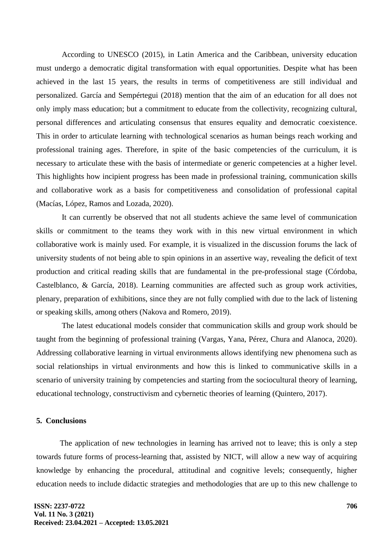According to UNESCO (2015), in Latin America and the Caribbean, university education must undergo a democratic digital transformation with equal opportunities. Despite what has been achieved in the last 15 years, the results in terms of competitiveness are still individual and personalized. García and Sempértegui (2018) mention that the aim of an education for all does not only imply mass education; but a commitment to educate from the collectivity, recognizing cultural, personal differences and articulating consensus that ensures equality and democratic coexistence. This in order to articulate learning with technological scenarios as human beings reach working and professional training ages. Therefore, in spite of the basic competencies of the curriculum, it is necessary to articulate these with the basis of intermediate or generic competencies at a higher level. This highlights how incipient progress has been made in professional training, communication skills and collaborative work as a basis for competitiveness and consolidation of professional capital (Macías, López, Ramos and Lozada, 2020).

It can currently be observed that not all students achieve the same level of communication skills or commitment to the teams they work with in this new virtual environment in which collaborative work is mainly used. For example, it is visualized in the discussion forums the lack of university students of not being able to spin opinions in an assertive way, revealing the deficit of text production and critical reading skills that are fundamental in the pre-professional stage (Córdoba, Castelblanco, & García, 2018). Learning communities are affected such as group work activities, plenary, preparation of exhibitions, since they are not fully complied with due to the lack of listening or speaking skills, among others (Nakova and Romero, 2019).

The latest educational models consider that communication skills and group work should be taught from the beginning of professional training (Vargas, Yana, Pérez, Chura and Alanoca, 2020). Addressing collaborative learning in virtual environments allows identifying new phenomena such as social relationships in virtual environments and how this is linked to communicative skills in a scenario of university training by competencies and starting from the sociocultural theory of learning, educational technology, constructivism and cybernetic theories of learning (Quintero, 2017).

#### **5. Conclusions**

The application of new technologies in learning has arrived not to leave; this is only a step towards future forms of process-learning that, assisted by NICT, will allow a new way of acquiring knowledge by enhancing the procedural, attitudinal and cognitive levels; consequently, higher education needs to include didactic strategies and methodologies that are up to this new challenge to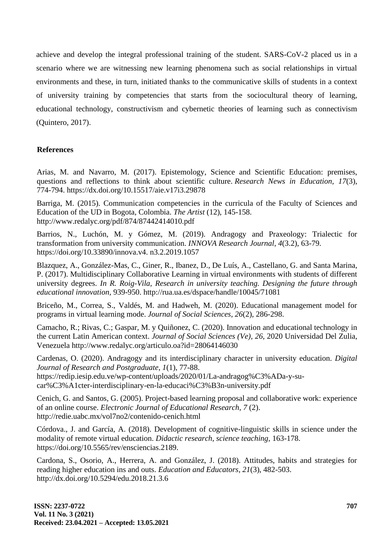achieve and develop the integral professional training of the student. SARS-CoV-2 placed us in a scenario where we are witnessing new learning phenomena such as social relationships in virtual environments and these, in turn, initiated thanks to the communicative skills of students in a context of university training by competencies that starts from the sociocultural theory of learning, educational technology, constructivism and cybernetic theories of learning such as connectivism (Quintero, 2017).

## **References**

Arias, M. and Navarro, M. (2017). Epistemology, Science and Scientific Education: premises, questions and reflections to think about scientific culture. *Research News in Education, 17*(3), 774-794. <https://dx.doi.org/10.15517/aie.v17i3.29878>

Barriga, M. (2015). Communication competencies in the curricula of the Faculty of Sciences and Education of the UD in Bogota, Colombia. *The Artist* (12), 145-158. http://www.redalyc.org/pdf/874/87442414010.pdf

Barrios, N., Luchón, M. y Gómez, M. (2019). Andragogy and Praxeology: Trialectic for transformation from university communication. *INNOVA Research Journal, 4*(3.2), 63-79. https://doi.org/10.33890/innova.v4. n3.2.2019.1057

Blazquez, A., González-Mas, C., Giner, R., Ibanez, D., De Luís, A., Castellano, G. and Santa Marina, P. (2017). Multidisciplinary Collaborative Learning in virtual environments with students of different university degrees. *In R. Roig-Vila, Research in university teaching. Designing the future through educational innovation,* 939-950. http://rua.ua.es/dspace/handle/10045/71081

Briceño, M., Correa, S., Valdés, M. and Hadweh, M. (2020). Educational management model for programs in virtual learning mode. *Journal of Social Sciences, 26*(2), 286-298.

Camacho, R.; Rivas, C.; Gaspar, M. y Quiñonez, C. (2020). Innovation and educational technology in the current Latin American context. *Journal of Social Sciences (Ve), 26*, 2020 Universidad Del Zulia, Venezuela http://www.redalyc.org/articulo.oa?id=28064146030

Cardenas, O. (2020). Andragogy and its interdisciplinary character in university education. *Digital Journal of Research and Postgraduate, 1*(1), 77-88. [https://redip.iesip.edu.ve/wp-content/uploads/2020/01/La-andragog%C3%ADa-y-su](https://redip.iesip.edu.ve/wp-content/uploads/2020/01/La-andragog%C3%ADa-y-su-car%C3%A1cter-interdisciplinary-en-la-educaci%C3%B3n-university.pdf)[car%C3%A1cter-interdisciplinary-en-la-educaci%C3%B3n-university.pdf](https://redip.iesip.edu.ve/wp-content/uploads/2020/01/La-andragog%C3%ADa-y-su-car%C3%A1cter-interdisciplinary-en-la-educaci%C3%B3n-university.pdf)

Cenich, G. and Santos, G. (2005). Project-based learning proposal and collaborative work: experience of an online course. *Electronic Journal of Educational Research, 7* (2). http://redie.uabc.mx/vol7no2/contenido-cenich.html

Córdova., J. and García, A. (2018). Development of cognitive-linguistic skills in science under the modality of remote virtual education. *Didactic research, science teaching,* 163-178. https://doi.org/10.5565/rev/ensciencias.2189.

Cardona, S., Osorio, A., Herrera, A. and González, J. (2018). Attitudes, habits and strategies for reading higher education ins and outs. *Education and Educators, 21*(3), 482-503. http://dx.doi.org/10.5294/edu.2018.21.3.6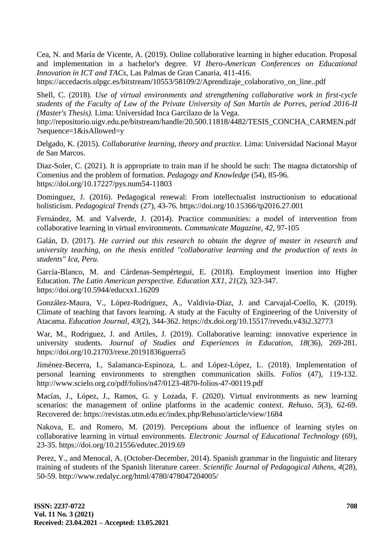Cea, N. and María de Vicente, A. (2019). Online collaborative learning in higher education. Proposal and implementation in a bachelor's degree. *VI Ibero-American Conferences on Educational Innovation in ICT and TACs*, Las Palmas de Gran Canaria, 411-416.

https://accedacris.ulpgc.es/bitstream/10553/58109/2/Aprendizaje\_colaborativo\_on\_line..pdf

Shell, C. (2018). *Use of virtual environments and strengthening collaborative work in first-cycle students of the Faculty of Law of the Private University of San Martín de Porres, period 2016-II (Master's Thesis).* Lima: Universidad Inca Garcilazo de la Vega.

http://repositorio.uigv.edu.pe/bitstream/handle/20.500.11818/4482/TESIS\_CONCHA\_CARMEN.pdf ?sequence=1&isAllowed=y

Delgado, K. (2015). *Collaborative learning, theory and practice.* Lima: Universidad Nacional Mayor de San Marcos.

Diaz-Soler, C. (2021). It is appropriate to train man if he should be such: The magna dictatorship of Comenius and the problem of formation. *Pedagogy and Knowledge* (54), 85-96. https://doi.org/10.17227/pys.num54-11803

Dominguez, J. (2016). Pedagogical renewal: From intellectualist instructionism to educational holisticism. *Pedagogical Trends* (27), 43-76. https://doi.org/10.15366/tp2016.27.001

Fernández, M. and Valverde, J. (2014). Practice communities: a model of intervention from collaborative learning in virtual environments. *Communicate Magazine, 42*, 97-105

Galán, D. (2017). *He carried out this research to obtain the degree of master in research and university teaching, on the thesis entitled "collaborative learning and the production of texts in students" Ica, Peru.*

García-Blanco, M. and Cárdenas-Sempértegui, E. (2018). Employment insertion into Higher Education. *The Latin American perspective. Education XX1, 21*(2), 323-347. https://doi.org/10.5944/educxx1.16209

González-Maura, V., López-Rodríguez, A., Valdivia-Díaz, J. and Carvajal-Coello, K. (2019). Climate of teaching that favors learning. A study at the Faculty of Engineering of the University of Atacama. *Education Journal*, *43*(2), 344-362. <https://dx.doi.org/10.15517/revedu.v43i2.32773>

War, M., Rodriguez, J. and Artiles, J. (2019). Collaborative learning: innovative experience in university students. *Journal of Studies and Experiences in Education, 18*(36), 269-281. https://doi.org/10.21703/rexe.20191836guerra5

Jiménez-Becerra, I., Salamanca-Espinoza, L. and López-López, L. (2018). Implementation of personal learning environments to strengthen communication skills. *Folios* (47), 119-132. <http://www.scielo.org.co/pdf/folios/n47/0123-4870-folios-47-00119.pdf>

Macías, J., López, J., Ramos, G. y Lozada, F. (2020). Virtual environments as new learning scenarios: the management of online platforms in the academic context. *Rehuso, 5*(3), 62-69. Recovered de: https://revistas.utm.edu.ec/index.php/Rehuso/article/view/1684

Nakova, E. and Romero, M. (2019). Perceptions about the influence of learning styles on collaborative learning in virtual environments. *Electronic Journal of Educational Technology* (69), 23-35. https://doi.org/10.21556/edutec.2019.69

Perez, Y., and Menocal, A. (October-December, 2014). Spanish grammar in the linguistic and literary training of students of the Spanish literature career. *Scientific Journal of Pedagogical Athens, 4*(28), 50-59. http://www.redalyc.org/html/4780/478047204005/